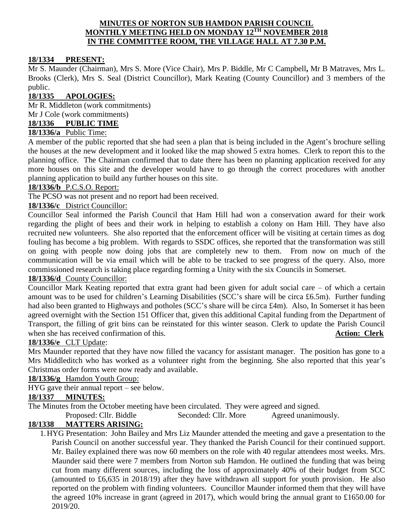### **MINUTES OF NORTON SUB HAMDON PARISH COUNCIL MONTHLY MEETING HELD ON MONDAY 12TH NOVEMBER 2018 IN THE COMMITTEE ROOM, THE VILLAGE HALL AT 7.30 P.M.**

### **18/1334 PRESENT:**

Mr S. Maunder (Chairman), Mrs S. More (Vice Chair), Mrs P. Biddle, Mr C Campbell**,** Mr B Matraves, Mrs L. Brooks (Clerk), Mrs S. Seal (District Councillor), Mark Keating (County Councillor) and 3 members of the public.

### **18/1335 APOLOGIES:**

Mr R. Middleton (work commitments)

# Mr J Cole (work commitments)

#### **18/1336 PUBLIC TIME**

# **18/1336/a** Public Time:

A member of the public reported that she had seen a plan that is being included in the Agent's brochure selling the houses at the new development and it looked like the map showed 5 extra homes. Clerk to report this to the planning office. The Chairman confirmed that to date there has been no planning application received for any more houses on this site and the developer would have to go through the correct procedures with another planning application to build any further houses on this site.

### **18/1336/b** P.C.S.O. Report:

The PCSO was not present and no report had been received.

# **18/1336/c** District Councillor:

Councillor Seal informed the Parish Council that Ham Hill had won a conservation award for their work regarding the plight of bees and their work in helping to establish a colony on Ham Hill. They have also recruited new volunteers. She also reported that the enforcement officer will be visiting at certain times as dog fouling has become a big problem. With regards to SSDC offices, she reported that the transformation was still on going with people now doing jobs that are completely new to them. From now on much of the communication will be via email which will be able to be tracked to see progress of the query. Also, more commissioned research is taking place regarding forming a Unity with the six Councils in Somerset.

#### **18/1336/d** County Councillor:

Councillor Mark Keating reported that extra grant had been given for adult social care – of which a certain amount was to be used for children's Learning Disabilities (SCC's share will be circa £6.5m). Further funding had also been granted to Highways and potholes (SCC's share will be circa £4m). Also, In Somerset it has been agreed overnight with the Section 151 Officer that, given this additional Capital funding from the Department of Transport, the filling of grit bins can be reinstated for this winter season. Clerk to update the Parish Council when she has received confirmation of this. **Action: Clerk Action: Clerk** 

#### **18/1336/e** CLT Update:

Mrs Maunder reported that they have now filled the vacancy for assistant manager. The position has gone to a Mrs Middleditch who has worked as a volunteer right from the beginning. She also reported that this year's Christmas order forms were now ready and available.

**18/1336/g** Hamdon Youth Group:

HYG gave their annual report – see below.

# **18/1337 MINUTES:**

The Minutes from the October meeting have been circulated. They were agreed and signed.

Proposed: Cllr. Biddle Seconded: Cllr. More Agreed unanimously.

# **18/1338 MATTERS ARISING:**

1.HYG Presentation: John Bailey and Mrs Liz Maunder attended the meeting and gave a presentation to the Parish Council on another successful year. They thanked the Parish Council for their continued support. Mr. Bailey explained there was now 60 members on the role with 40 regular attendees most weeks. Mrs. Maunder said there were 7 members from Norton sub Hamdon. He outlined the funding that was being cut from many different sources, including the loss of approximately 40% of their budget from SCC (amounted to £6,635 in 2018/19) after they have withdrawn all support for youth provision. He also reported on the problem with finding volunteers. Councillor Maunder informed them that they will have the agreed 10% increase in grant (agreed in 2017), which would bring the annual grant to £1650.00 for 2019/20.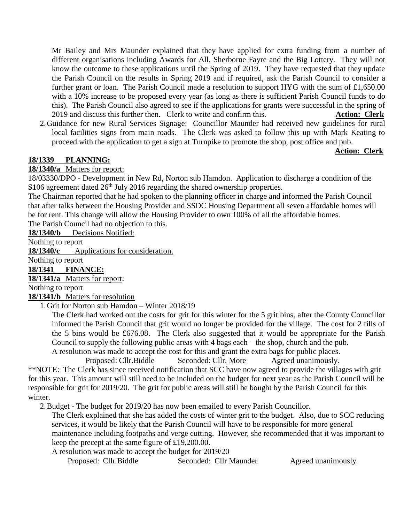Mr Bailey and Mrs Maunder explained that they have applied for extra funding from a number of different organisations including Awards for All, Sherborne Fayre and the Big Lottery. They will not know the outcome to these applications until the Spring of 2019. They have requested that they update the Parish Council on the results in Spring 2019 and if required, ask the Parish Council to consider a further grant or loan. The Parish Council made a resolution to support HYG with the sum of £1,650.00 with a 10% increase to be proposed every year (as long as there is sufficient Parish Council funds to do this). The Parish Council also agreed to see if the applications for grants were successful in the spring of 2019 and discuss this further then. Clerk to write and confirm this. **Action: Clerk**

2.Guidance for new Rural Services Signage: Councillor Maunder had received new guidelines for rural local facilities signs from main roads. The Clerk was asked to follow this up with Mark Keating to proceed with the application to get a sign at Turnpike to promote the shop, post office and pub.

# **Action: Clerk**

### **18/1339 PLANNING:**

# **18/1340/a** Matters for report:

18/03330/DPO - Development in New Rd, Norton sub Hamdon. Application to discharge a condition of the S106 agreement dated  $26<sup>th</sup>$  July 2016 regarding the shared ownership properties.

The Chairman reported that he had spoken to the planning officer in charge and informed the Parish Council that after talks between the Housing Provider and SSDC Housing Department all seven affordable homes will be for rent. This change will allow the Housing Provider to own 100% of all the affordable homes. The Parish Council had no objection to this.

**18/1340/b** Decisions Notified:

Nothing to report

**18/1340/c** Applications for consideration.

Nothing to report

#### **18/1341 FINANCE:**

**18/1341/a** Matters for report:

Nothing to report

**18/1341/b** Matters for resolution

1.Grit for Norton sub Hamdon – Winter 2018/19

The Clerk had worked out the costs for grit for this winter for the 5 grit bins, after the County Councillor informed the Parish Council that grit would no longer be provided for the village. The cost for 2 fills of the 5 bins would be £676.08. The Clerk also suggested that it would be appropriate for the Parish Council to supply the following public areas with 4 bags each – the shop, church and the pub.

A resolution was made to accept the cost for this and grant the extra bags for public places.

Proposed: Cllr.Biddle Seconded: Cllr. More Agreed unanimously.

\*\*NOTE: The Clerk has since received notification that SCC have now agreed to provide the villages with grit for this year. This amount will still need to be included on the budget for next year as the Parish Council will be responsible for grit for 2019/20. The grit for public areas will still be bought by the Parish Council for this winter.

2.Budget - The budget for 2019/20 has now been emailed to every Parish Councillor.

The Clerk explained that she has added the costs of winter grit to the budget. Also, due to SCC reducing services, it would be likely that the Parish Council will have to be responsible for more general maintenance including footpaths and verge cutting. However, she recommended that it was important to keep the precept at the same figure of £19,200.00.

A resolution was made to accept the budget for 2019/20

Proposed: Cllr Biddle Seconded: Cllr Maunder Agreed unanimously.